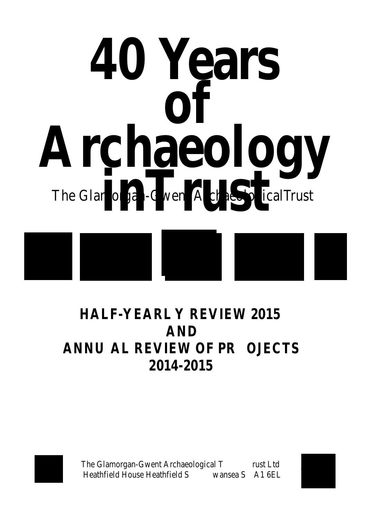

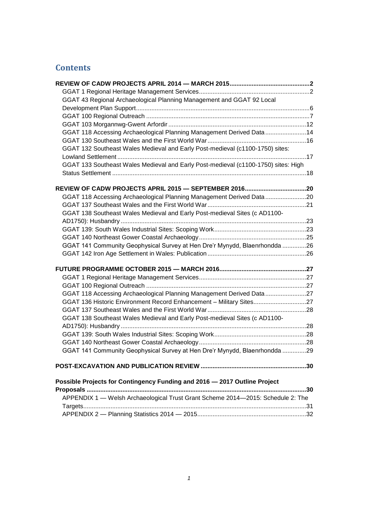# **Contents**

| GGAT 43 Regional Archaeological Planning Management and GGAT 92 Local              |     |
|------------------------------------------------------------------------------------|-----|
|                                                                                    |     |
|                                                                                    |     |
|                                                                                    |     |
| GGAT 118 Accessing Archaeological Planning Management Derived Data 14              |     |
|                                                                                    |     |
| GGAT 132 Southeast Wales Medieval and Early Post-medieval (c1100-1750) sites:      |     |
|                                                                                    |     |
| GGAT 133 Southeast Wales Medieval and Early Post-medieval (c1100-1750) sites: High |     |
|                                                                                    |     |
|                                                                                    |     |
| GGAT 118 Accessing Archaeological Planning Management Derived Data20               |     |
|                                                                                    |     |
| GGAT 138 Southeast Wales Medieval and Early Post-medieval Sites (c AD1100-         |     |
|                                                                                    |     |
|                                                                                    |     |
|                                                                                    |     |
| GGAT 141 Community Geophysical Survey at Hen Dre'r Mynydd, Blaenrhondda 26         |     |
|                                                                                    |     |
|                                                                                    |     |
|                                                                                    |     |
|                                                                                    |     |
| GGAT 118 Accessing Archaeological Planning Management Derived Data 27              |     |
| GGAT 136 Historic Environment Record Enhancement - Military Sites27                |     |
|                                                                                    |     |
| GGAT 138 Southeast Wales Medieval and Early Post-medieval Sites (c AD1100-         |     |
|                                                                                    |     |
|                                                                                    |     |
|                                                                                    |     |
| GGAT 141 Community Geophysical Survey at Hen Dre'r Mynydd, Blaenrhondda 29         |     |
|                                                                                    |     |
| Possible Projects for Contingency Funding and 2016 - 2017 Outline Project          |     |
| Proposals                                                                          | .30 |
| APPENDIX 1 - Welsh Archaeological Trust Grant Scheme 2014-2015: Schedule 2: The    |     |
|                                                                                    |     |
|                                                                                    |     |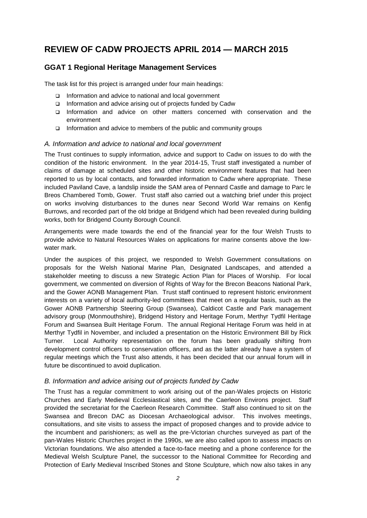# <span id="page-2-0"></span>**REVIEW OF CADW PROJECTS APRIL 2014 — MARCH 2015**

## <span id="page-2-1"></span>**GGAT 1 Regional Heritage Management Services**

The task list for this project is arranged under four main headings:

- □ Information and advice to national and local government
- $\Box$  Information and advice arising out of projects funded by Cadw
- Information and advice on other matters concerned with conservation and the environment
- □ Information and advice to members of the public and community groups

#### *A. Information and advice to national and local government*

The Trust continues to supply information, advice and support to Cadw on issues to do with the condition of the historic environment. In the year 2014-15, Trust staff investigated a number of claims of damage at scheduled sites and other historic environment features that had been reported to us by local contacts, and forwarded information to Cadw where appropriate. These included Paviland Cave, a landslip inside the SAM area of Pennard Castle and damage to Parc le Breos Chambered Tomb, Gower. Trust staff also carried out a watching brief under this project on works involving disturbances to the dunes near Second World War remains on Kenfig Burrows, and recorded part of the old bridge at Bridgend which had been revealed during building works, both for Bridgend County Borough Council.

Arrangements were made towards the end of the financial year for the four Welsh Trusts to provide advice to Natural Resources Wales on applications for marine consents above the lowwater mark.

Under the auspices of this project, we responded to Welsh Government consultations on proposals for the Welsh National Marine Plan, Designated Landscapes, and attended a stakeholder meeting to discuss a new Strategic Action Plan for Places of Worship. For local government, we commented on diversion of Rights of Way for the Brecon Beacons National Park, and the Gower AONB Management Plan. Trust staff continued to represent historic environment interests on a variety of local authority-led committees that meet on a regular basis, such as the Gower AONB Partnership Steering Group (Swansea), Caldicot Castle and Park management advisory group (Monmouthshire), Bridgend History and Heritage Forum, Merthyr Tydfil Heritage Forum and Swansea Built Heritage Forum. The annual Regional Heritage Forum was held in at Merthyr Tydfil in November, and included a presentation on the Historic Environment Bill by Rick Turner. Local Authority representation on the forum has been gradually shifting from development control officers to conservation officers, and as the latter already have a system of regular meetings which the Trust also attends, it has been decided that our annual forum will in future be discontinued to avoid duplication.

#### *B. Information and advice arising out of projects funded by Cadw*

The Trust has a regular commitment to work arising out of the pan-Wales projects on Historic Churches and Early Medieval Ecclesiastical sites, and the Caerleon Environs project. Staff provided the secretariat for the Caerleon Research Committee. Staff also continued to sit on the Swansea and Brecon DAC as Diocesan Archaeological advisor. This involves meetings, consultations, and site visits to assess the impact of proposed changes and to provide advice to the incumbent and parishioners; as well as the pre-Victorian churches surveyed as part of the pan-Wales Historic Churches project in the 1990s, we are also called upon to assess impacts on Victorian foundations. We also attended a face-to-face meeting and a phone conference for the Medieval Welsh Sculpture Panel, the successor to the National Committee for Recording and Protection of Early Medieval Inscribed Stones and Stone Sculpture, which now also takes in any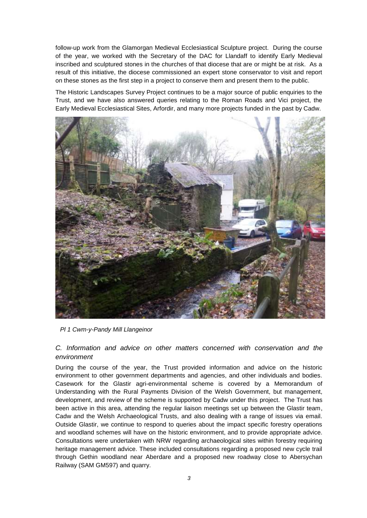follow-up work from the Glamorgan Medieval Ecclesiastical Sculpture project. During the course of the year, we worked with the Secretary of the DAC for Llandaff to identify Early Medieval inscribed and sculptured stones in the churches of that diocese that are or might be at risk. As a result of this initiative, the diocese commissioned an expert stone conservator to visit and report on these stones as the first step in a project to conserve them and present them to the public.

The Historic Landscapes Survey Project continues to be a major source of public enquiries to the Trust, and we have also answered queries relating to the Roman Roads and Vici project, the Early Medieval Ecclesiastical Sites, Arfordir, and many more projects funded in the past by Cadw.



*Pl 1 Cwm-y-Pandy Mill Llangeinor*

### *C. Information and advice on other matters concerned with conservation and the environment*

During the course of the year, the Trust provided information and advice on the historic environment to other government departments and agencies, and other individuals and bodies. Casework for the Glastir agri-environmental scheme is covered by a Memorandum of Understanding with the Rural Payments Division of the Welsh Government, but management, development, and review of the scheme is supported by Cadw under this project. The Trust has been active in this area, attending the regular liaison meetings set up between the Glastir team, Cadw and the Welsh Archaeological Trusts, and also dealing with a range of issues via email. Outside Glastir, we continue to respond to queries about the impact specific forestry operations and woodland schemes will have on the historic environment, and to provide appropriate advice. Consultations were undertaken with NRW regarding archaeological sites within forestry requiring heritage management advice. These included consultations regarding a proposed new cycle trail through Gethin woodland near Aberdare and a proposed new roadway close to Abersychan Railway (SAM GM597) and quarry.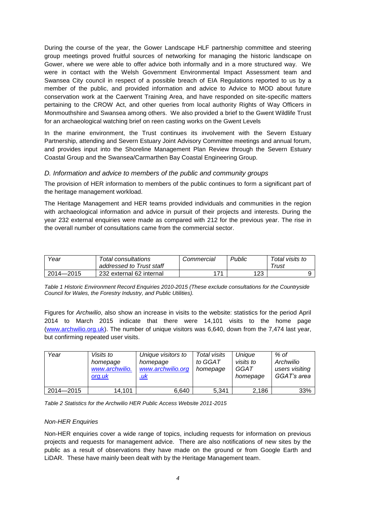During the course of the year, the Gower Landscape HLF partnership committee and steering group meetings proved fruitful sources of networking for managing the historic landscape on Gower, where we were able to offer advice both informally and in a more structured way. We were in contact with the Welsh Government Environmental Impact Assessment team and Swansea City council in respect of a possible breach of EIA Regulations reported to us by a member of the public, and provided information and advice to Advice to MOD about future conservation work at the Caerwent Training Area, and have responded on site-specific matters pertaining to the CROW Act, and other queries from local authority Rights of Way Officers in Monmouthshire and Swansea among others. We also provided a brief to the Gwent Wildlife Trust for an archaeological watching brief on reen casting works on the Gwent Levels

In the marine environment, the Trust continues its involvement with the Severn Estuary Partnership, attending and Severn Estuary Joint Advisory Committee meetings and annual forum, and provides input into the Shoreline Management Plan Review through the Severn Estuary Coastal Group and the Swansea/Carmarthen Bay Coastal Engineering Group.

#### *D. Information and advice to members of the public and community groups*

The provision of HER information to members of the public continues to form a significant part of the heritage management workload.

The Heritage Management and HER teams provided individuals and communities in the region with archaeological information and advice in pursuit of their projects and interests. During the year 232 external enquiries were made as compared with 212 for the previous year. The rise in the overall number of consultations came from the commercial sector.

| Year      | Total consultations      | Commercial | Public | Total visits to |  |
|-----------|--------------------------|------------|--------|-----------------|--|
|           | addressed to Trust staff |            |        | Trust           |  |
| 2014-2015 | 232 external 62 internal | 74         | 123    |                 |  |

*Table 1 Historic Environment Record Enquiries 2010-2015 (These exclude consultations for the Countryside Council for Wales, the Forestry Industry, and Public Utilities).*

Figures for *Archwilio*, also show an increase in visits to the website: statistics for the period April 2014 to March 2015 indicate that there were 14,101 visits to the home page [\(www.archwilio.org.uk\)](http://www.archwilio.org.uk/). The number of unique visitors was 6,640, down from the 7,474 last year, but confirming repeated user visits.

| Year      | <i>Visits to</i><br>homepage<br>www.archwilio.<br>org.uk | Unique visitors to<br>homepage<br>www.archwilio.org<br><u>.uk</u> | Total visits<br>to GGAT<br>homepage | Unique<br>visits to<br>GGAT<br>homepage | % of<br>Archwilio<br>users visiting<br>GGAT's area |
|-----------|----------------------------------------------------------|-------------------------------------------------------------------|-------------------------------------|-----------------------------------------|----------------------------------------------------|
| 2014-2015 | 14,101                                                   | 6.640                                                             | 5.341                               | 2.186                                   | 33%                                                |

*Table 2 Statistics for the Archwilio HER Public Access Website 2011-2015*

#### *Non-HER Enquiries*

Non-HER enquiries cover a wide range of topics, including requests for information on previous projects and requests for management advice. There are also notifications of new sites by the public as a result of observations they have made on the ground or from Google Earth and LiDAR. These have mainly been dealt with by the Heritage Management team.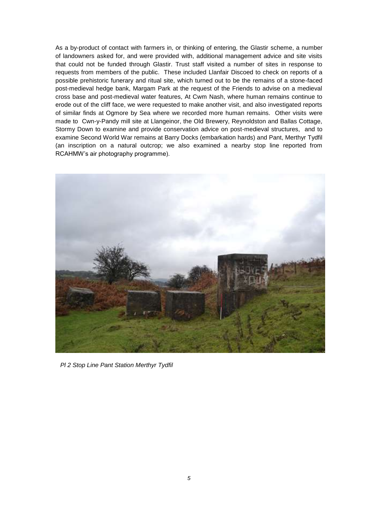As a by-product of contact with farmers in, or thinking of entering, the Glastir scheme, a number of landowners asked for, and were provided with, additional management advice and site visits that could not be funded through Glastir. Trust staff visited a number of sites in response to requests from members of the public. These included Llanfair Discoed to check on reports of a possible prehistoric funerary and ritual site, which turned out to be the remains of a stone-faced post-medieval hedge bank, Margam Park at the request of the Friends to advise on a medieval cross base and post-medieval water features, At Cwm Nash, where human remains continue to erode out of the cliff face, we were requested to make another visit, and also investigated reports of similar finds at Ogmore by Sea where we recorded more human remains. Other visits were made to Cwn-y-Pandy mill site at Llangeinor, the Old Brewery, Reynoldston and Ballas Cottage, Stormy Down to examine and provide conservation advice on post-medieval structures, and to examine Second World War remains at Barry Docks (embarkation hards) and Pant, Merthyr Tydfil (an inscription on a natural outcrop; we also examined a nearby stop line reported from RCAHMW's air photography programme).

<span id="page-5-0"></span>

*Pl 2 Stop Line Pant Station Merthyr Tydfil*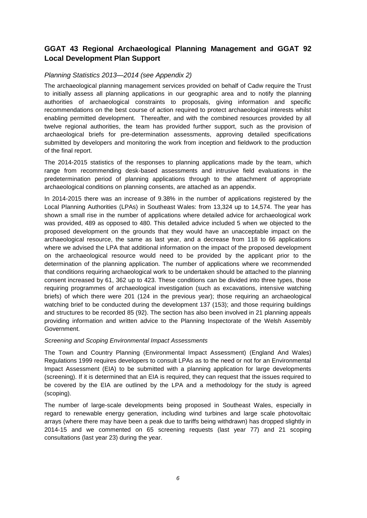# **GGAT 43 Regional Archaeological Planning Management and GGAT 92 Local Development Plan Support**

#### *Planning Statistics 2013—2014 (see Appendix 2)*

The archaeological planning management services provided on behalf of Cadw require the Trust to initially assess all planning applications in our geographic area and to notify the planning authorities of archaeological constraints to proposals, giving information and specific recommendations on the best course of action required to protect archaeological interests whilst enabling permitted development. Thereafter, and with the combined resources provided by all twelve regional authorities, the team has provided further support, such as the provision of archaeological briefs for pre-determination assessments, approving detailed specifications submitted by developers and monitoring the work from inception and fieldwork to the production of the final report.

The 2014-2015 statistics of the responses to planning applications made by the team, which range from recommending desk-based assessments and intrusive field evaluations in the predetermination period of planning applications through to the attachment of appropriate archaeological conditions on planning consents, are attached as an appendix.

In 2014-2015 there was an increase of 9.38% in the number of applications registered by the Local Planning Authorities (LPAs) in Southeast Wales: from 13,324 up to 14,574. The year has shown a small rise in the number of applications where detailed advice for archaeological work was provided, 489 as opposed to 480. This detailed advice included 5 when we objected to the proposed development on the grounds that they would have an unacceptable impact on the archaeological resource, the same as last year, and a decrease from 118 to 66 applications where we advised the LPA that additional information on the impact of the proposed development on the archaeological resource would need to be provided by the applicant prior to the determination of the planning application. The number of applications where we recommended that conditions requiring archaeological work to be undertaken should be attached to the planning consent increased by 61, 362 up to 423. These conditions can be divided into three types, those requiring programmes of archaeological investigation (such as excavations, intensive watching briefs) of which there were 201 (124 in the previous year); those requiring an archaeological watching brief to be conducted during the development 137 (153); and those requiring buildings and structures to be recorded 85 (92). The section has also been involved in 21 planning appeals providing information and written advice to the Planning Inspectorate of the Welsh Assembly Government.

#### *Screening and Scoping Environmental Impact Assessments*

The Town and Country Planning (Environmental Impact Assessment) (England And Wales) Regulations 1999 requires developers to consult LPAs as to the need or not for an Environmental Impact Assessment (EIA) to be submitted with a planning application for large developments (screening). If it is determined that an EIA is required, they can request that the issues required to be covered by the EIA are outlined by the LPA and a methodology for the study is agreed (scoping).

The number of large-scale developments being proposed in Southeast Wales, especially in regard to renewable energy generation, including wind turbines and large scale photovoltaic arrays (where there may have been a peak due to tariffs being withdrawn) has dropped slightly in 2014-15 and we commented on 65 screening requests (last year 77) and 21 scoping consultations (last year 23) during the year.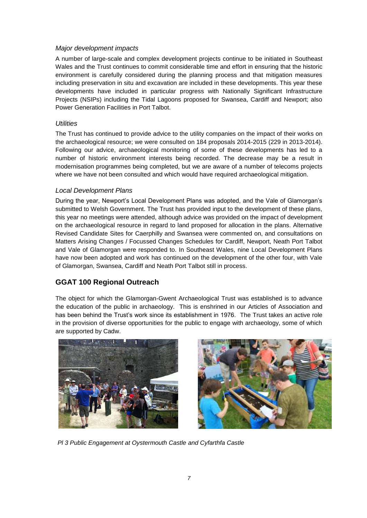#### *Major development impacts*

A number of large-scale and complex development projects continue to be initiated in Southeast Wales and the Trust continues to commit considerable time and effort in ensuring that the historic environment is carefully considered during the planning process and that mitigation measures including preservation in situ and excavation are included in these developments. This year these developments have included in particular progress with Nationally Significant Infrastructure Projects (NSIPs) including the Tidal Lagoons proposed for Swansea, Cardiff and Newport; also Power Generation Facilities in Port Talbot.

### *Utilities*

The Trust has continued to provide advice to the utility companies on the impact of their works on the archaeological resource; we were consulted on 184 proposals 2014-2015 (229 in 2013-2014). Following our advice, archaeological monitoring of some of these developments has led to a number of historic environment interests being recorded. The decrease may be a result in modernisation programmes being completed, but we are aware of a number of telecoms projects where we have not been consulted and which would have required archaeological mitigation.

### *Local Development Plans*

During the year, Newport's Local Development Plans was adopted, and the Vale of Glamorgan's submitted to Welsh Government. The Trust has provided input to the development of these plans, this year no meetings were attended, although advice was provided on the impact of development on the archaeological resource in regard to land proposed for allocation in the plans. Alternative Revised Candidate Sites for Caerphilly and Swansea were commented on, and consultations on Matters Arising Changes / Focussed Changes Schedules for Cardiff, Newport, Neath Port Talbot and Vale of Glamorgan were responded to. In Southeast Wales, nine Local Development Plans have now been adopted and work has continued on the development of the other four, with Vale of Glamorgan, Swansea, Cardiff and Neath Port Talbot still in process.

## <span id="page-7-0"></span>**GGAT 100 Regional Outreach**

The object for which the Glamorgan-Gwent Archaeological Trust was established is to advance the education of the public in archaeology. This is enshrined in our Articles of Association and has been behind the Trust's work since its establishment in 1976. The Trust takes an active role in the provision of diverse opportunities for the public to engage with archaeology, some of which are supported by Cadw.





*Pl 3 Public Engagement at Oystermouth Castle and Cyfarthfa Castle*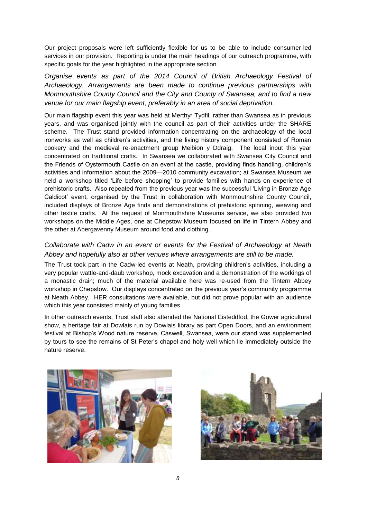Our project proposals were left sufficiently flexible for us to be able to include consumer-led services in our provision. Reporting is under the main headings of our outreach programme, with specific goals for the year highlighted in the appropriate section.

*Organise events as part of the 2014 Council of British Archaeology Festival of Archaeology. Arrangements are been made to continue previous partnerships with Monmouthshire County Council and the City and County of Swansea, and to find a new venue for our main flagship event, preferably in an area of social deprivation.*

Our main flagship event this year was held at Merthyr Tydfil, rather than Swansea as in previous years, and was organised jointly with the council as part of their activities under the SHARE scheme. The Trust stand provided information concentrating on the archaeology of the local ironworks as well as children's activities, and the living history component consisted of Roman cookery and the medieval re-enactment group Meibion y Ddraig. The local input this year concentrated on traditional crafts. In Swansea we collaborated with Swansea City Council and the Friends of Oystermouth Castle on an event at the castle, providing finds handling, children's activities and information about the 2009—2010 community excavation; at Swansea Museum we held a workshop titled 'Life before shopping' to provide families with hands-on experience of prehistoric crafts. Also repeated from the previous year was the successful 'Living in Bronze Age Caldicot' event, organised by the Trust in collaboration with Monmouthshire County Council, included displays of Bronze Age finds and demonstrations of prehistoric spinning, weaving and other textile crafts. At the request of Monmouthshire Museums service, we also provided two workshops on the Middle Ages, one at Chepstow Museum focused on life in Tintern Abbey and the other at Abergavenny Museum around food and clothing.

### *Collaborate with Cadw in an event or events for the Festival of Archaeology at Neath Abbey and hopefully also at other venues where arrangements are still to be made.*

The Trust took part in the Cadw-led events at Neath, providing children's activities, including a very popular wattle-and-daub workshop, mock excavation and a demonstration of the workings of a monastic drain; much of the material available here was re-used from the Tintern Abbey workshop in Chepstow. Our displays concentrated on the previous year's community programme at Neath Abbey. HER consultations were available, but did not prove popular with an audience which this year consisted mainly of young families.

In other outreach events, Trust staff also attended the National Eisteddfod, the Gower agricultural show, a heritage fair at Dowlais run by Dowlais library as part Open Doors, and an environment festival at Bishop's Wood nature reserve, Caswell, Swansea, were our stand was supplemented by tours to see the remains of St Peter's chapel and holy well which lie immediately outside the nature reserve.



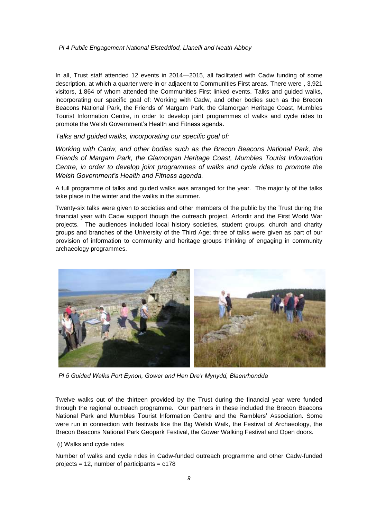#### *Pl 4 Public Engagement National Eisteddfod, Llanelli and Neath Abbey*

In all, Trust staff attended 12 events in 2014—2015, all facilitated with Cadw funding of some description, at which a quarter were in or adjacent to Communities First areas. There were , 3,921 visitors, 1,864 of whom attended the Communities First linked events. Talks and guided walks, incorporating our specific goal of: Working with Cadw, and other bodies such as the Brecon Beacons National Park, the Friends of Margam Park, the Glamorgan Heritage Coast, Mumbles Tourist Information Centre, in order to develop joint programmes of walks and cycle rides to promote the Welsh Government's Health and Fitness agenda.

*Talks and guided walks, incorporating our specific goal of:*

*Working with Cadw, and other bodies such as the Brecon Beacons National Park, the Friends of Margam Park, the Glamorgan Heritage Coast, Mumbles Tourist Information Centre, in order to develop joint programmes of walks and cycle rides to promote the Welsh Government's Health and Fitness agenda.*

A full programme of talks and guided walks was arranged for the year. The majority of the talks take place in the winter and the walks in the summer.

Twenty-six talks were given to societies and other members of the public by the Trust during the financial year with Cadw support though the outreach project, Arfordir and the First World War projects. The audiences included local history societies, student groups, church and charity groups and branches of the University of the Third Age; three of talks were given as part of our provision of information to community and heritage groups thinking of engaging in community archaeology programmes.



*Pl 5 Guided Walks Port Eynon, Gower and Hen Dre'r Mynydd, Blaenrhondda*

Twelve walks out of the thirteen provided by the Trust during the financial year were funded through the regional outreach programme. Our partners in these included the Brecon Beacons National Park and Mumbles Tourist Information Centre and the Ramblers' Association. Some were run in connection with festivals like the Big Welsh Walk, the Festival of Archaeology, the Brecon Beacons National Park Geopark Festival, the Gower Walking Festival and Open doors.

#### (i) Walks and cycle rides

Number of walks and cycle rides in Cadw-funded outreach programme and other Cadw-funded projects = 12, number of participants = c178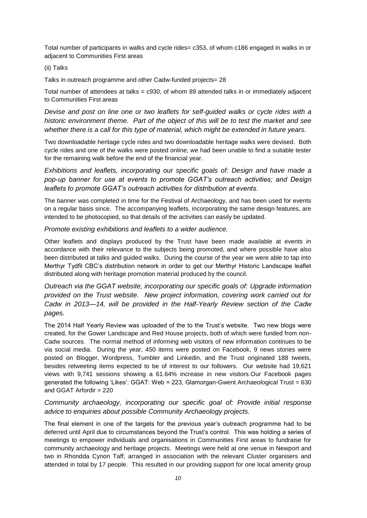Total number of participants in walks and cycle rides= c353, of whom c186 engaged in walks in or adjacent to Communities First areas

#### (ii) Talks

Talks in outreach programme and other Cadw-funded projects= 28

Total number of attendees at talks = c930, of whom 89 attended talks in or immediately adjacent to Communities First areas

*Devise and post on line one or two leaflets for self-guided walks or cycle rides with a historic environment theme. Part of the object of this will be to test the market and see whether there is a call for this type of material, which might be extended in future years.*

Two downloadable heritage cycle rides and two downloadable heritage walks were devised. Both cycle rides and one of the walks were posted online; we had been unable to find a suitable tester for the remaining walk before the end of the financial year.

*Exhibitions and leaflets, incorporating our specific goals of: Design and have made a pop-up banner for use at events to promote GGAT's outreach activities; and Design leaflets to promote GGAT's outreach activities for distribution at events*.

The banner was completed in time for the Festival of Archaeology, and has been used for events on a regular basis since. The accompanying leaflets, incorporating the same design features, are intended to be photocopied, so that details of the activities can easily be updated.

*Promote existing exhibitions and leaflets to a wider audience.*

Other leaflets and displays produced by the Trust have been made available at events in accordance with their relevance to the subjects being promoted, and where possible have also been distributed at talks and guided walks. During the course of the year we were able to tap into Merthyr Tydfil CBC's distribution network in order to get our Merthyr Historic Landscape leaflet distributed along with heritage promotion material produced by the council.

*Outreach via the GGAT website, incorporating our specific goals of: Upgrade information provided on the Trust website. New project information, covering work carried out for Cadw in 2013—14, will be provided in the Half-Yearly Review section of the Cadw pages.* 

The 2014 Half Yearly Review was uploaded of the to the Trust's website. Two new blogs were created, for the Gower Landscape and Red House projects, both of which were funded from non-Cadw sources. The normal method of informing web visitors of new information continues to be via social media. During the year, 450 items were posted on Facebook, 9 news stories were posted on Blogger, Wordpress, Tumbler and Linkedin, and the Trust originated 188 tweets, besides retweeting items expected to be of interest to our followers. Our website had 19,621 views with 9,741 sessions showing a 61.64% increase in new visitors.Our Facebook pages generated the following 'Likes': GGAT: Web = 223, Glamorgan-Gwent Archaeological Trust = 630 and GGAT Arfordir = 220

### *Community archaeology, incorporating our specific goal of: Provide initial response advice to enquiries about possible Community Archaeology projects.*

The final element in one of the targets for the previous year's outreach programme had to be deferred until April due to circumstances beyond the Trust's control. This was holding a series of meetings to empower individuals and organisations in Communities First areas to fundraise for community archaeology and heritage projects. Meetings were held at one venue in Newport and two in Rhondda Cynon Taff, arranged in association with the relevant Cluster organisers and attended in total by 17 people. This resulted in our providing support for one local amenity group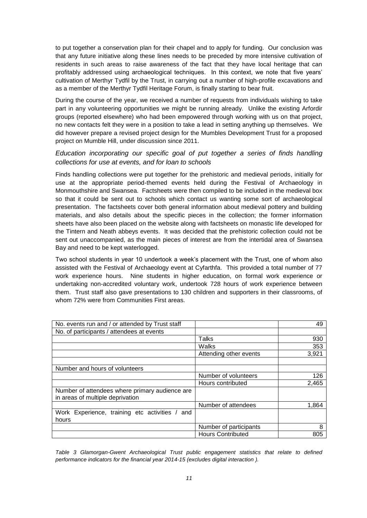to put together a conservation plan for their chapel and to apply for funding. Our conclusion was that any future initiative along these lines needs to be preceded by more intensive cultivation of residents in such areas to raise awareness of the fact that they have local heritage that can profitably addressed using archaeological techniques. In this context, we note that five years' cultivation of Merthyr Tydfil by the Trust, in carrying out a number of high-profile excavations and as a member of the Merthyr Tydfil Heritage Forum, is finally starting to bear fruit.

During the course of the year, we received a number of requests from individuals wishing to take part in any volunteering opportunities we might be running already. Unlike the existing Arfordir groups (reported elsewhere) who had been empowered through working with us on that project, no new contacts felt they were in a position to take a lead in setting anything up themselves. We did however prepare a revised project design for the Mumbles Development Trust for a proposed project on Mumble Hill, under discussion since 2011.

### *Education incorporating our specific goal of put together a series of finds handling collections for use at events, and for loan to schools*

Finds handling collections were put together for the prehistoric and medieval periods, initially for use at the appropriate period-themed events held during the Festival of Archaeology in Monmouthshire and Swansea. Factsheets were then compiled to be included in the medieval box so that it could be sent out to schools which contact us wanting some sort of archaeological presentation. The factsheets cover both general information about medieval pottery and building materials, and also details about the specific pieces in the collection; the former information sheets have also been placed on the website along with factsheets on monastic life developed for the Tintern and Neath abbeys events. It was decided that the prehistoric collection could not be sent out unaccompanied, as the main pieces of interest are from the intertidal area of Swansea Bay and need to be kept waterlogged.

Two school students in year 10 undertook a week's placement with the Trust, one of whom also assisted with the Festival of Archaeology event at Cyfarthfa. This provided a total number of 77 work experience hours. Nine students in higher education, on formal work experience or undertaking non-accredited voluntary work, undertook 728 hours of work experience between them. Trust staff also gave presentations to 130 children and supporters in their classrooms, of whom 72% were from Communities First areas.

| No. events run and / or attended by Trust staff                                    |                          | 49    |
|------------------------------------------------------------------------------------|--------------------------|-------|
| No. of participants / attendees at events                                          |                          |       |
|                                                                                    | Talks                    | 930   |
|                                                                                    | Walks                    | 353   |
|                                                                                    | Attending other events   | 3,921 |
|                                                                                    |                          |       |
| Number and hours of volunteers                                                     |                          |       |
|                                                                                    | Number of volunteers     | 126   |
|                                                                                    | Hours contributed        | 2,465 |
| Number of attendees where primary audience are<br>in areas of multiple deprivation |                          |       |
|                                                                                    | Number of attendees      | 1.864 |
| Work Experience, training etc activities / and                                     |                          |       |
| hours                                                                              |                          |       |
|                                                                                    | Number of participants   | 8     |
|                                                                                    | <b>Hours Contributed</b> | 805   |

*Table 3 Glamorgan-Gwent Archaeological Trust public engagement statistics that relate to defined performance indicators for the financial year 2014-15 (excludes digital interaction ).*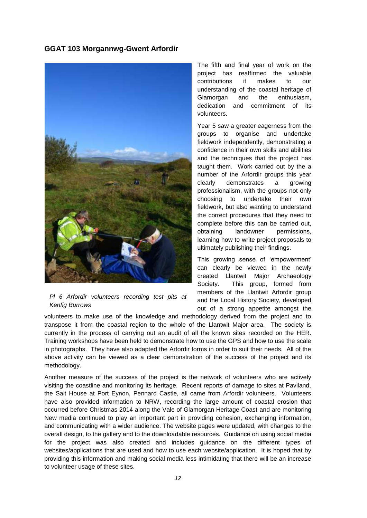### <span id="page-12-0"></span>**GGAT 103 Morgannwg-Gwent Arfordir**



#### *Pl 6 Arfordir volunteers recording test pits at Kenfig Burrows*

The fifth and final year of work on the project has reaffirmed the valuable contributions it makes to our understanding of the coastal heritage of Glamorgan and the enthusiasm, dedication and commitment of its volunteers.

Year 5 saw a greater eagerness from the groups to organise and undertake fieldwork independently, demonstrating a confidence in their own skills and abilities and the techniques that the project has taught them. Work carried out by the a number of the Arfordir groups this year clearly demonstrates a growing professionalism, with the groups not only choosing to undertake their own fieldwork, but also wanting to understand the correct procedures that they need to complete before this can be carried out, obtaining landowner permissions, learning how to write project proposals to ultimately publishing their findings.

This growing sense of 'empowerment' can clearly be viewed in the newly created Llantwit Major Archaeology Society. This group, formed from members of the Llantwit Arfordir group and the Local History Society, developed out of a strong appetite amongst the

volunteers to make use of the knowledge and methodology derived from the project and to transpose it from the coastal region to the whole of the Llantwit Major area. The society is currently in the process of carrying out an audit of all the known sites recorded on the HER. Training workshops have been held to demonstrate how to use the GPS and how to use the scale in photographs. They have also adapted the Arfordir forms in order to suit their needs. All of the above activity can be viewed as a clear demonstration of the success of the project and its methodology.

Another measure of the success of the project is the network of volunteers who are actively visiting the coastline and monitoring its heritage. Recent reports of damage to sites at Paviland, the Salt House at Port Eynon, Pennard Castle, all came from Arfordir volunteers. Volunteers have also provided information to NRW, recording the large amount of coastal erosion that occurred before Christmas 2014 along the Vale of Glamorgan Heritage Coast and are monitoring New media continued to play an important part in providing cohesion, exchanging information, and communicating with a wider audience. The website pages were updated, with changes to the overall design, to the gallery and to the downloadable resources. Guidance on using social media for the project was also created and includes guidance on the different types of websites/applications that are used and how to use each website/application. It is hoped that by providing this information and making social media less intimidating that there will be an increase to volunteer usage of these sites.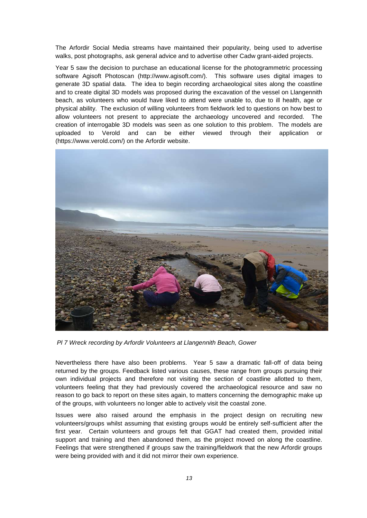The Arfordir Social Media streams have maintained their popularity, being used to advertise walks, post photographs, ask general advice and to advertise other Cadw grant-aided projects.

Year 5 saw the decision to purchase an educational license for the photogrammetric processing software Agisoft Photoscan (http://www.agisoft.com/). This software uses digital images to generate 3D spatial data. The idea to begin recording archaeological sites along the coastline and to create digital 3D models was proposed during the excavation of the vessel on Llangennith beach, as volunteers who would have liked to attend were unable to, due to ill health, age or physical ability. The exclusion of willing volunteers from fieldwork led to questions on how best to allow volunteers not present to appreciate the archaeology uncovered and recorded. The creation of interrogable 3D models was seen as one solution to this problem. The models are uploaded to Verold and can be either viewed through their application or (https://www.verold.com/) on the Arfordir website.



*Pl 7 Wreck recording by Arfordir Volunteers at Llangennith Beach, Gower*

Nevertheless there have also been problems. Year 5 saw a dramatic fall-off of data being returned by the groups. Feedback listed various causes, these range from groups pursuing their own individual projects and therefore not visiting the section of coastline allotted to them, volunteers feeling that they had previously covered the archaeological resource and saw no reason to go back to report on these sites again, to matters concerning the demographic make up of the groups, with volunteers no longer able to actively visit the coastal zone.

Issues were also raised around the emphasis in the project design on recruiting new volunteers/groups whilst assuming that existing groups would be entirely self-sufficient after the first year. Certain volunteers and groups felt that GGAT had created them, provided initial support and training and then abandoned them, as the project moved on along the coastline. Feelings that were strengthened if groups saw the training/fieldwork that the new Arfordir groups were being provided with and it did not mirror their own experience.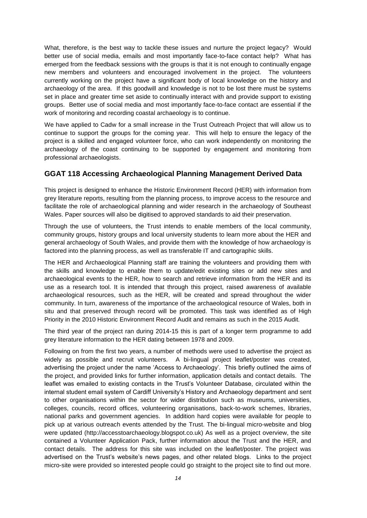What, therefore, is the best way to tackle these issues and nurture the project legacy? Would better use of social media, emails and most importantly face-to-face contact help? What has emerged from the feedback sessions with the groups is that it is not enough to continually engage new members and volunteers and encouraged involvement in the project. The volunteers currently working on the project have a significant body of local knowledge on the history and archaeology of the area. If this goodwill and knowledge is not to be lost there must be systems set in place and greater time set aside to continually interact with and provide support to existing groups. Better use of social media and most importantly face-to-face contact are essential if the work of monitoring and recording coastal archaeology is to continue.

We have applied to Cadw for a small increase in the Trust Outreach Project that will allow us to continue to support the groups for the coming year. This will help to ensure the legacy of the project is a skilled and engaged volunteer force, who can work independently on monitoring the archaeology of the coast continuing to be supported by engagement and monitoring from professional archaeologists.

#### <span id="page-14-0"></span>**GGAT 118 Accessing Archaeological Planning Management Derived Data**

This project is designed to enhance the Historic Environment Record (HER) with information from grey literature reports, resulting from the planning process, to improve access to the resource and facilitate the role of archaeological planning and wider research in the archaeology of Southeast Wales. Paper sources will also be digitised to approved standards to aid their preservation.

Through the use of volunteers, the Trust intends to enable members of the local community, community groups, history groups and local university students to learn more about the HER and general archaeology of South Wales, and provide them with the knowledge of how archaeology is factored into the planning process, as well as transferable IT and cartographic skills.

The HER and Archaeological Planning staff are training the volunteers and providing them with the skills and knowledge to enable them to update/edit existing sites or add new sites and archaeological events to the HER, how to search and retrieve information from the HER and its use as a research tool. It is intended that through this project, raised awareness of available archaeological resources, such as the HER, will be created and spread throughout the wider community. In turn, awareness of the importance of the archaeological resource of Wales, both in situ and that preserved through record will be promoted. This task was identified as of High Priority in the 2010 Historic Environment Record Audit and remains as such in the 2015 Audit.

The third year of the project ran during 2014-15 this is part of a longer term programme to add grey literature information to the HER dating between 1978 and 2009.

Following on from the first two years, a number of methods were used to advertise the project as widely as possible and recruit volunteers. A bi-lingual project leaflet/poster was created, advertising the project under the name 'Access to Archaeology'. This briefly outlined the aims of the project, and provided links for further information, application details and contact details. The leaflet was emailed to existing contacts in the Trust's Volunteer Database, circulated within the internal student email system of Cardiff University's History and Archaeology department and sent to other organisations within the sector for wider distribution such as museums, universities, colleges, councils, record offices, volunteering organisations, back-to-work schemes, libraries, national parks and government agencies. In addition hard copies were available for people to pick up at various outreach events attended by the Trust. The bi-lingual micro-website and blog were updated (http://accesstoarchaeology.blogspot.co.uk) As well as a project overview, the site contained a Volunteer Application Pack, further information about the Trust and the HER, and contact details. The address for this site was included on the leaflet/poster. The project was advertised on the Trust's website's news pages, and other related blogs. Links to the project micro-site were provided so interested people could go straight to the project site to find out more.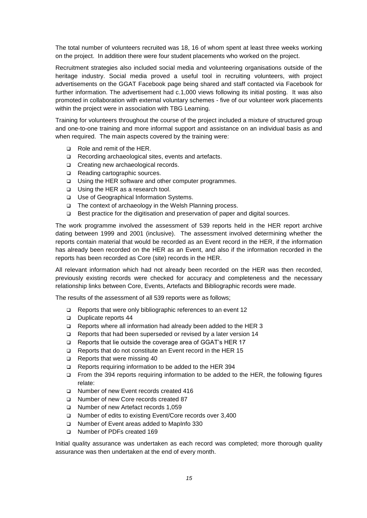The total number of volunteers recruited was 18, 16 of whom spent at least three weeks working on the project. In addition there were four student placements who worked on the project.

Recruitment strategies also included social media and volunteering organisations outside of the heritage industry. Social media proved a useful tool in recruiting volunteers, with project advertisements on the GGAT Facebook page being shared and staff contacted via Facebook for further information. The advertisement had c.1,000 views following its initial posting. It was also promoted in collaboration with external voluntary schemes - five of our volunteer work placements within the project were in association with TBG Learning.

Training for volunteers throughout the course of the project included a mixture of structured group and one-to-one training and more informal support and assistance on an individual basis as and when required. The main aspects covered by the training were:

- Role and remit of the HER.
- □ Recording archaeological sites, events and artefacts.
- □ Creating new archaeological records.
- Reading cartographic sources.
- □ Using the HER software and other computer programmes.
- □ Using the HER as a research tool.
- □ Use of Geographical Information Systems.
- □ The context of archaeology in the Welsh Planning process.
- Best practice for the digitisation and preservation of paper and digital sources.

The work programme involved the assessment of 539 reports held in the HER report archive dating between 1999 and 2001 (inclusive). The assessment involved determining whether the reports contain material that would be recorded as an Event record in the HER, if the information has already been recorded on the HER as an Event, and also if the information recorded in the reports has been recorded as Core (site) records in the HER.

All relevant information which had not already been recorded on the HER was then recorded, previously existing records were checked for accuracy and completeness and the necessary relationship links between Core, Events, Artefacts and Bibliographic records were made.

The results of the assessment of all 539 reports were as follows;

- Reports that were only bibliographic references to an event 12
- Duplicate reports 44
- Reports where all information had already been added to the HER 3
- $\Box$  Reports that had been superseded or revised by a later version 14
- □ Reports that lie outside the coverage area of GGAT's HER 17
- □ Reports that do not constitute an Event record in the HER 15
- Reports that were missing 40
- Reports requiring information to be added to the HER 394
- From the 394 reports requiring information to be added to the HER, the following figures relate:
- Number of new Event records created 416
- □ Number of new Core records created 87
- Number of new Artefact records 1,059
- Number of edits to existing Event/Core records over 3,400
- Number of Event areas added to MapInfo 330
- □ Number of PDFs created 169

Initial quality assurance was undertaken as each record was completed; more thorough quality assurance was then undertaken at the end of every month.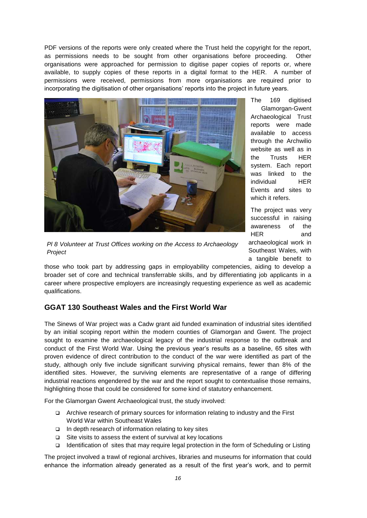PDF versions of the reports were only created where the Trust held the copyright for the report, as permissions needs to be sought from other organisations before proceeding. Other organisations were approached for permission to digitise paper copies of reports or, where available, to supply copies of these reports in a digital format to the HER. A number of permissions were received, permissions from more organisations are required prior to incorporating the digitisation of other organisations' reports into the project in future years.



*Pl 8 Volunteer at Trust Offices working on the Access to Archaeology Project*

The 169 digitised Glamorgan-Gwent Archaeological Trust reports were made available to access through the Archwilio website as well as in the Trusts HER system. Each report was linked to the individual HER Events and sites to which it refers.

The project was very successful in raising awareness of the HER and archaeological work in Southeast Wales, with a tangible benefit to

those who took part by addressing gaps in employability competencies, aiding to develop a broader set of core and technical transferrable skills, and by differentiating job applicants in a career where prospective employers are increasingly requesting experience as well as academic qualifications.

## <span id="page-16-0"></span>**GGAT 130 Southeast Wales and the First World War**

The Sinews of War project was a Cadw grant aid funded examination of industrial sites identified by an initial scoping report within the modern counties of Glamorgan and Gwent. The project sought to examine the archaeological legacy of the industrial response to the outbreak and conduct of the First World War. Using the previous year's results as a baseline, 65 sites with proven evidence of direct contribution to the conduct of the war were identified as part of the study, although only five include significant surviving physical remains, fewer than 8% of the identified sites. However, the surviving elements are representative of a range of differing industrial reactions engendered by the war and the report sought to contextualise those remains, highlighting those that could be considered for some kind of statutory enhancement.

For the Glamorgan Gwent Archaeological trust, the study involved:

- Archive research of primary sources for information relating to industry and the First World War within Southeast Wales
- $\Box$  In depth research of information relating to key sites
- $\Box$  Site visits to assess the extent of survival at key locations
- Identification of sites that may require legal protection in the form of Scheduling or Listing

The project involved a trawl of regional archives, libraries and museums for information that could enhance the information already generated as a result of the first year's work, and to permit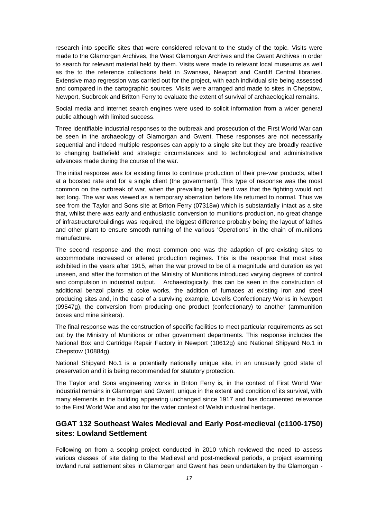research into specific sites that were considered relevant to the study of the topic. Visits were made to the Glamorgan Archives, the West Glamorgan Archives and the Gwent Archives in order to search for relevant material held by them. Visits were made to relevant local museums as well as the to the reference collections held in Swansea, Newport and Cardiff Central libraries. Extensive map regression was carried out for the project, with each individual site being assessed and compared in the cartographic sources. Visits were arranged and made to sites in Chepstow, Newport, Sudbrook and Britton Ferry to evaluate the extent of survival of archaeological remains.

Social media and internet search engines were used to solicit information from a wider general public although with limited success.

Three identifiable industrial responses to the outbreak and prosecution of the First World War can be seen in the archaeology of Glamorgan and Gwent. These responses are not necessarily sequential and indeed multiple responses can apply to a single site but they are broadly reactive to changing battlefield and strategic circumstances and to technological and administrative advances made during the course of the war.

The initial response was for existing firms to continue production of their pre-war products, albeit at a boosted rate and for a single client (the government). This type of response was the most common on the outbreak of war, when the prevailing belief held was that the fighting would not last long. The war was viewed as a temporary aberration before life returned to normal. Thus we see from the Taylor and Sons site at Briton Ferry (07318w) which is substantially intact as a site that, whilst there was early and enthusiastic conversion to munitions production, no great change of infrastructure/buildings was required, the biggest difference probably being the layout of lathes and other plant to ensure smooth running of the various 'Operations' in the chain of munitions manufacture.

The second response and the most common one was the adaption of pre-existing sites to accommodate increased or altered production regimes. This is the response that most sites exhibited in the years after 1915, when the war proved to be of a magnitude and duration as yet unseen, and after the formation of the Ministry of Munitions introduced varying degrees of control and compulsion in industrial output. Archaeologically, this can be seen in the construction of additional benzol plants at coke works, the addition of furnaces at existing iron and steel producing sites and, in the case of a surviving example, Lovells Confectionary Works in Newport (09547g), the conversion from producing one product (confectionary) to another (ammunition boxes and mine sinkers).

The final response was the construction of specific facilities to meet particular requirements as set out by the Ministry of Munitions or other government departments. This response includes the National Box and Cartridge Repair Factory in Newport (10612g) and National Shipyard No.1 in Chepstow (10884g).

National Shipyard No.1 is a potentially nationally unique site, in an unusually good state of preservation and it is being recommended for statutory protection.

The Taylor and Sons engineering works in Briton Ferry is, in the context of First World War industrial remains in Glamorgan and Gwent, unique in the extent and condition of its survival, with many elements in the building appearing unchanged since 1917 and has documented relevance to the First World War and also for the wider context of Welsh industrial heritage.

## <span id="page-17-0"></span>**GGAT 132 Southeast Wales Medieval and Early Post-medieval (c1100-1750) sites: Lowland Settlement**

Following on from a scoping project conducted in 2010 which reviewed the need to assess various classes of site dating to the Medieval and post-medieval periods, a project examining lowland rural settlement sites in Glamorgan and Gwent has been undertaken by the Glamorgan -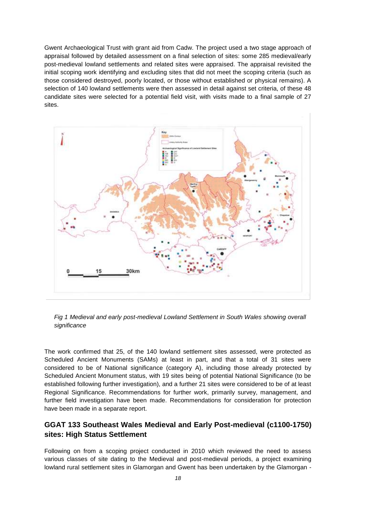Gwent Archaeological Trust with grant aid from Cadw. The project used a two stage approach of appraisal followed by detailed assessment on a final selection of sites: some 285 medieval/early post-medieval lowland settlements and related sites were appraised. The appraisal revisited the initial scoping work identifying and excluding sites that did not meet the scoping criteria (such as those considered destroyed, poorly located, or those without established or physical remains). A selection of 140 lowland settlements were then assessed in detail against set criteria, of these 48 candidate sites were selected for a potential field visit, with visits made to a final sample of 27 sites.





The work confirmed that 25, of the 140 lowland settlement sites assessed, were protected as Scheduled Ancient Monuments (SAMs) at least in part, and that a total of 31 sites were considered to be of National significance (category A), including those already protected by Scheduled Ancient Monument status, with 19 sites being of potential National Significance (to be established following further investigation), and a further 21 sites were considered to be of at least Regional Significance. Recommendations for further work, primarily survey, management, and further field investigation have been made. Recommendations for consideration for protection have been made in a separate report.

## <span id="page-18-0"></span>**GGAT 133 Southeast Wales Medieval and Early Post-medieval (c1100-1750) sites: High Status Settlement**

Following on from a scoping project conducted in 2010 which reviewed the need to assess various classes of site dating to the Medieval and post-medieval periods, a project examining lowland rural settlement sites in Glamorgan and Gwent has been undertaken by the Glamorgan -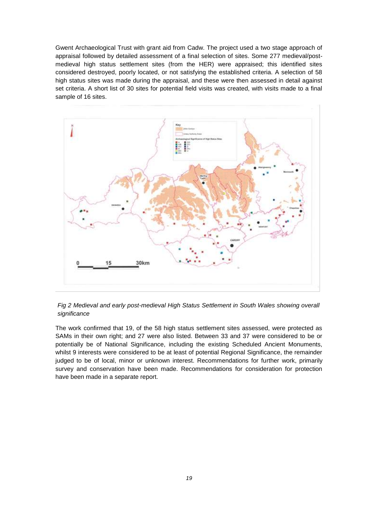Gwent Archaeological Trust with grant aid from Cadw. The project used a two stage approach of appraisal followed by detailed assessment of a final selection of sites. Some 277 medieval/postmedieval high status settlement sites (from the HER) were appraised; this identified sites considered destroyed, poorly located, or not satisfying the established criteria. A selection of 58 high status sites was made during the appraisal, and these were then assessed in detail against set criteria. A short list of 30 sites for potential field visits was created, with visits made to a final sample of 16 sites.



*Fig 2 Medieval and early post-medieval High Status Settlement in South Wales showing overall significance*

The work confirmed that 19, of the 58 high status settlement sites assessed, were protected as SAMs in their own right; and 27 were also listed. Between 33 and 37 were considered to be or potentially be of National Significance, including the existing Scheduled Ancient Monuments, whilst 9 interests were considered to be at least of potential Regional Significance, the remainder judged to be of local, minor or unknown interest. Recommendations for further work, primarily survey and conservation have been made. Recommendations for consideration for protection have been made in a separate report.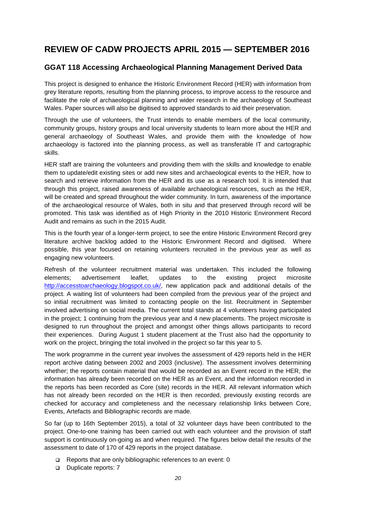# <span id="page-20-0"></span>**REVIEW OF CADW PROJECTS APRIL 2015 — SEPTEMBER 2016**

## <span id="page-20-1"></span>**GGAT 118 Accessing Archaeological Planning Management Derived Data**

This project is designed to enhance the Historic Environment Record (HER) with information from grey literature reports, resulting from the planning process, to improve access to the resource and facilitate the role of archaeological planning and wider research in the archaeology of Southeast Wales. Paper sources will also be digitised to approved standards to aid their preservation.

Through the use of volunteers, the Trust intends to enable members of the local community, community groups, history groups and local university students to learn more about the HER and general archaeology of Southeast Wales, and provide them with the knowledge of how archaeology is factored into the planning process, as well as transferable IT and cartographic skills.

HER staff are training the volunteers and providing them with the skills and knowledge to enable them to update/edit existing sites or add new sites and archaeological events to the HER, how to search and retrieve information from the HER and its use as a research tool. It is intended that through this project, raised awareness of available archaeological resources, such as the HER, will be created and spread throughout the wider community. In turn, awareness of the importance of the archaeological resource of Wales, both in situ and that preserved through record will be promoted. This task was identified as of High Priority in the 2010 Historic Environment Record Audit and remains as such in the 2015 Audit.

This is the fourth year of a longer-term project, to see the entire Historic Environment Record grey literature archive backlog added to the Historic Environment Record and digitised. Where possible, this year focused on retaining volunteers recruited in the previous year as well as engaging new volunteers.

Refresh of the volunteer recruitment material was undertaken. This included the following elements; advertisement leaflet, updates to the existing project microsite [http://accesstoarchaeology.blogspot.co.uk/,](http://accesstoarchaeology.blogspot.co.uk/) new application pack and additional details of the project. A waiting list of volunteers had been compiled from the previous year of the project and so initial recruitment was limited to contacting people on the list. Recruitment in September involved advertising on social media. The current total stands at 4 volunteers having participated in the project; 1 continuing from the previous year and 4 new placements. The project microsite is designed to run throughout the project and amongst other things allows participants to record their experiences. During August 1 student placement at the Trust also had the opportunity to work on the project, bringing the total involved in the project so far this year to 5.

The work programme in the current year involves the assessment of 429 reports held in the HER report archive dating between 2002 and 2003 (inclusive). The assessment involves determining whether; the reports contain material that would be recorded as an Event record in the HER, the information has already been recorded on the HER as an Event, and the information recorded in the reports has been recorded as Core (site) records in the HER. All relevant information which has not already been recorded on the HER is then recorded, previously existing records are checked for accuracy and completeness and the necessary relationship links between Core, Events, Artefacts and Bibliographic records are made.

So far (up to 16th September 2015), a total of 32 volunteer days have been contributed to the project. One-to-one training has been carried out with each volunteer and the provision of staff support is continuously on-going as and when required. The figures below detail the results of the assessment to date of 170 of 429 reports in the project database.

- $\Box$  Reports that are only bibliographic references to an event: 0
- Duplicate reports: 7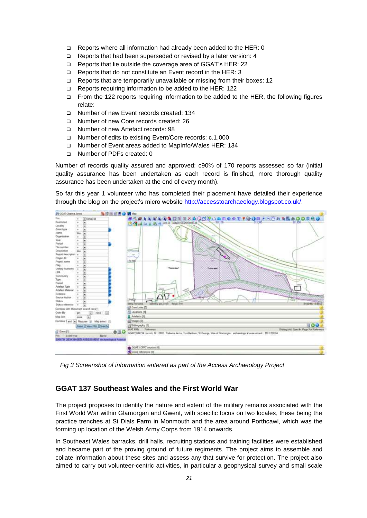- Reports where all information had already been added to the HER: 0
- □ Reports that had been superseded or revised by a later version: 4
- □ Reports that lie outside the coverage area of GGAT's HER: 22
- □ Reports that do not constitute an Event record in the HER: 3
- Reports that are temporarily unavailable or missing from their boxes: 12
- Reports requiring information to be added to the HER: 122
- From the 122 reports requiring information to be added to the HER, the following figures relate:
- □ Number of new Event records created: 134
- Number of new Core records created: 26
- Number of new Artefact records: 98
- Number of edits to existing Event/Core records: c.1,000
- Number of Event areas added to MapInfo/Wales HER: 134
- Number of PDFs created: 0

Number of records quality assured and approved: c90% of 170 reports assessed so far (initial quality assurance has been undertaken as each record is finished, more thorough quality assurance has been undertaken at the end of every month).

So far this year 1 volunteer who has completed their placement have detailed their experience through the blog on the project's micro website [http://accesstoarchaeology.blogspot.co.uk/.](http://accesstoarchaeology.blogspot.co.uk/)



*Fig 3 Screenshot of information entered as part of the Access Archaeology Project*

## <span id="page-21-0"></span>**GGAT 137 Southeast Wales and the First World War**

The project proposes to identify the nature and extent of the military remains associated with the First World War within Glamorgan and Gwent, with specific focus on two locales, these being the practice trenches at St Dials Farm in Monmouth and the area around Porthcawl, which was the forming up location of the Welsh Army Corps from 1914 onwards.

In Southeast Wales barracks, drill halls, recruiting stations and training facilities were established and became part of the proving ground of future regiments. The project aims to assemble and collate information about these sites and assess any that survive for protection. The project also aimed to carry out volunteer-centric activities, in particular a geophysical survey and small scale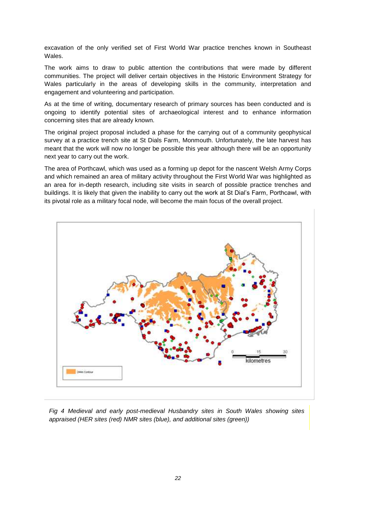excavation of the only verified set of First World War practice trenches known in Southeast Wales.

The work aims to draw to public attention the contributions that were made by different communities. The project will deliver certain objectives in the Historic Environment Strategy for Wales particularly in the areas of developing skills in the community, interpretation and engagement and volunteering and participation.

As at the time of writing, documentary research of primary sources has been conducted and is ongoing to identify potential sites of archaeological interest and to enhance information concerning sites that are already known.

The original project proposal included a phase for the carrying out of a community geophysical survey at a practice trench site at St Dials Farm, Monmouth. Unfortunately, the late harvest has meant that the work will now no longer be possible this year although there will be an opportunity next year to carry out the work.

The area of Porthcawl, which was used as a forming up depot for the nascent Welsh Army Corps and which remained an area of military activity throughout the First World War was highlighted as an area for in-depth research, including site visits in search of possible practice trenches and buildings. It is likely that given the inability to carry out the work at St Dial's Farm, Porthcawl, with its pivotal role as a military focal node, will become the main focus of the overall project.



*Fig 4 Medieval and early post-medieval Husbandry sites in South Wales showing sites appraised (HER sites (red) NMR sites (blue), and additional sites (green))*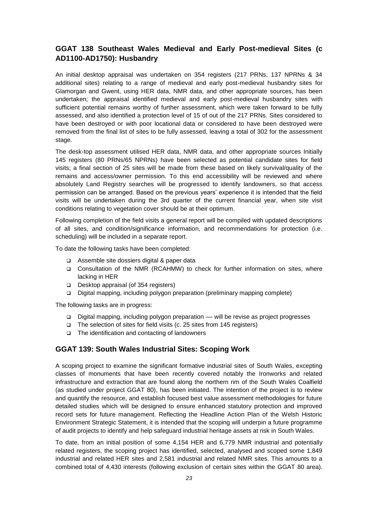## <span id="page-23-0"></span>**GGAT 138 Southeast Wales Medieval and Early Post-medieval Sites (c AD1100-AD1750): Husbandry**

An initial desktop appraisal was undertaken on 354 registers (217 PRNs, 137 NPRNs & 34 additional sites) relating to a range of medieval and early post-medieval husbandry sites for Glamorgan and Gwent, using HER data, NMR data, and other appropriate sources, has been undertaken; the appraisal identified medieval and early post-medieval husbandry sites with sufficient potential remains worthy of further assessment, which were taken forward to be fully assessed, and also identified a protection level of 15 of out of the 217 PRNs. Sites considered to have been destroyed or with poor locational data or considered to have been destroyed were removed from the final list of sites to be fully assessed, leaving a total of 302 for the assessment stage.

The desk-top assessment utilised HER data, NMR data, and other appropriate sources Initially 145 registers (80 PRNs/65 NPRNs) have been selected as potential candidate sites for field visits; a final section of 25 sites will be made from these based on likely survival/quality of the remains and access/owner permission. To this end accessibility will be reviewed and where absolutely Land Registry searches will be progressed to identify landowners, so that access permission can be arranged. Based on the previous years' experience it is intended that the field visits will be undertaken during the 3rd quarter of the current financial year, when site visit conditions relating to vegetation cover should be at their optimum.

Following completion of the field visits a general report will be compiled with updated descriptions of all sites, and condition/significance information, and recommendations for protection (i.e. scheduling) will be included in a separate report.

To date the following tasks have been completed:

- □ Assemble site dossiers digital & paper data
- Consultation of the NMR (RCAHMW) to check for further information on sites, where lacking in HER
- Desktop appraisal (of 354 registers)
- Digital mapping, including polygon preparation (preliminary mapping complete)

The following tasks are in progress:

- Digital mapping, including polygon preparation –– will be revise as project progresses
- $\Box$  The selection of sites for field visits (c. 25 sites from 145 registers)
- $\Box$  The identification and contacting of landowners

#### <span id="page-23-1"></span>**GGAT 139: South Wales Industrial Sites: Scoping Work**

A scoping project to examine the significant formative industrial sites of South Wales, excepting classes of monuments that have been recently covered notably the Ironworks and related infrastructure and extraction that are found along the northern rim of the South Wales Coalfield (as studied under project GGAT 80), has been initiated. The intention of the project is to review and quantify the resource, and establish focused best value assessment methodologies for future detailed studies which will be designed to ensure enhanced statutory protection and improved record sets for future management. Reflecting the Headline Action Plan of the Welsh Historic Environment Strategic Statement, it is intended that the scoping will underpin a future programme of audit projects to identify and help safeguard industrial heritage assets at risk in South Wales.

To date, from an initial position of some 4,154 HER and 6,779 NMR industrial and potentially related registers, the scoping project has identified, selected, analysed and scoped some 1,849 industrial and related HER sites and 2,581 industrial and related NMR sites. This amounts to a combined total of 4,430 interests (following exclusion of certain sites within the GGAT 80 area).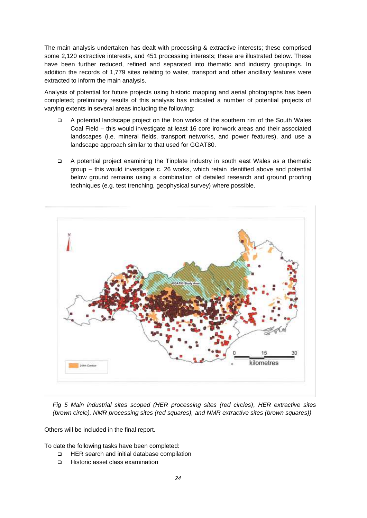The main analysis undertaken has dealt with processing & extractive interests; these comprised some 2,120 extractive interests, and 451 processing interests; these are illustrated below. These have been further reduced, refined and separated into thematic and industry groupings. In addition the records of 1,779 sites relating to water, transport and other ancillary features were extracted to inform the main analysis.

Analysis of potential for future projects using historic mapping and aerial photographs has been completed; preliminary results of this analysis has indicated a number of potential projects of varying extents in several areas including the following:

- A potential landscape project on the Iron works of the southern rim of the South Wales Coal Field – this would investigate at least 16 core ironwork areas and their associated landscapes (i.e. mineral fields, transport networks, and power features), and use a landscape approach similar to that used for GGAT80.
- A potential project examining the Tinplate industry in south east Wales as a thematic group – this would investigate c. 26 works, which retain identified above and potential below ground remains using a combination of detailed research and ground proofing techniques (e.g. test trenching, geophysical survey) where possible.



*Fig 5 Main industrial sites scoped (HER processing sites (red circles), HER extractive sites (brown circle), NMR processing sites (red squares), and NMR extractive sites (brown squares))*

Others will be included in the final report.

To date the following tasks have been completed:

- □ HER search and initial database compilation
- □ Historic asset class examination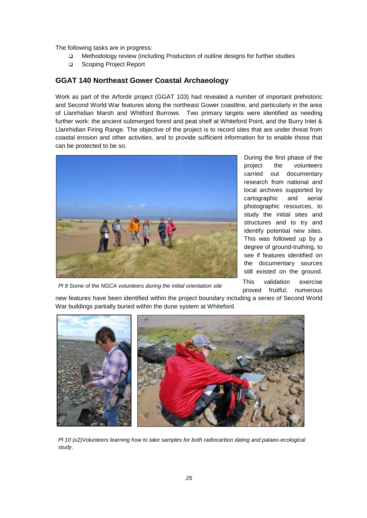The following tasks are in progress:

- □ Methodology review (including Production of outline designs for further studies
- □ Scoping Project Report

#### <span id="page-25-0"></span>**GGAT 140 Northeast Gower Coastal Archaeology**

Work as part of the Arfordir project (GGAT 103) had revealed a number of important prehistoric and Second World War features along the northeast Gower coastline, and particularly in the area of Llanrhidian Marsh and Whitford Burrows. Two primary targets were identified as needing further work: the ancient submerged forest and peat shelf at Whiteford Point, and the Burry Inlet & Llanrhidian Firing Range. The objective of the project is to record sites that are under threat from coastal erosion and other activities, and to provide sufficient information for to enable those that can be protected to be so.



*Pl 9 Some of the NGCA volunteers during the initial orientation site* 

During the first phase of the project the volunteers carried out documentary research from national and local archives supported by cartographic and aerial photographic resources, to study the initial sites and structures and to try and identify potential new sites. This was followed up by a degree of ground-truthing, to see if features identified on the documentary sources still existed on the ground. This validation exercise proved fruitful; numerous

new features have been identified within the project boundary including a series of Second World *visit* War buildings partially buried within the dune system at Whiteford.



*Pl 10 (x2)Volunteers learning how to take samples for both radiocarbon dating and palaeo-ecological study*.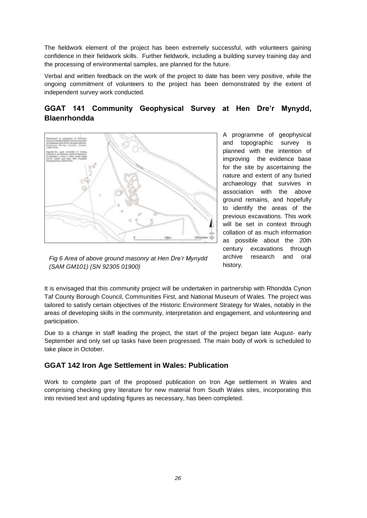The fieldwork element of the project has been extremely successful, with volunteers gaining confidence in their fieldwork skills. Further fieldwork, including a building survey training day and the processing of environmental samples, are planned for the future.

Verbal and written feedback on the work of the project to date has been very positive, while the ongoing commitment of volunteers to the project has been demonstrated by the extent of independent survey work conducted.

# <span id="page-26-0"></span>**GGAT 141 Community Geophysical Survey at Hen Dre'r Mynydd, Blaenrhondda**



A programme of geophysical and topographic survey is planned with the intention of improving the evidence base for the site by ascertaining the nature and extent of any buried archaeology that survives in association with the above ground remains, and hopefully to identify the areas of the previous excavations. This work will be set in context through collation of as much information as possible about the 20th century excavations through archive research and oral history.

*Fig 6 Area of above ground masonry at Hen Dre'r Mynydd (SAM GM101) (SN 92305 01900)*

It is envisaged that this community project will be undertaken in partnership with Rhondda Cynon Taf County Borough Council, Communities First, and National Museum of Wales. The project was tailored to satisfy certain objectives of the Historic Environment Strategy for Wales, notably in the areas of developing skills in the community, interpretation and engagement, and volunteering and participation.

Due to a change in staff leading the project, the start of the project began late August- early September and only set up tasks have been progressed. The main body of work is scheduled to take place in October.

### <span id="page-26-1"></span>**GGAT 142 Iron Age Settlement in Wales: Publication**

Work to complete part of the proposed publication on Iron Age settlement in Wales and comprising checking grey literature for new material from South Wales sites, incorporating this into revised text and updating figures as necessary, has been completed.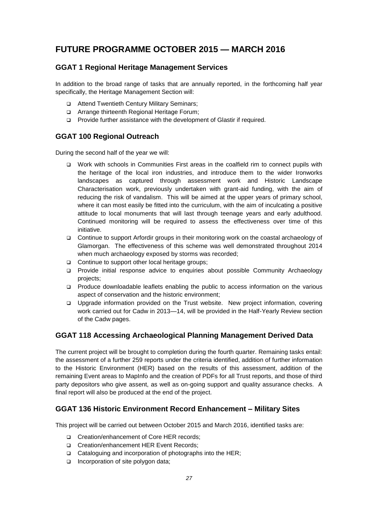# <span id="page-27-0"></span>**FUTURE PROGRAMME OCTOBER 2015 — MARCH 2016**

# <span id="page-27-1"></span>**GGAT 1 Regional Heritage Management Services**

In addition to the broad range of tasks that are annually reported, in the forthcoming half year specifically, the Heritage Management Section will:

- □ Attend Twentieth Century Military Seminars;
- □ Arrange thirteenth Regional Heritage Forum;
- □ Provide further assistance with the development of Glastir if required.

# <span id="page-27-2"></span>**GGAT 100 Regional Outreach**

During the second half of the year we will:

- □ Work with schools in Communities First areas in the coalfield rim to connect pupils with the heritage of the local iron industries, and introduce them to the wider Ironworks landscapes as captured through assessment work and Historic Landscape Characterisation work, previously undertaken with grant-aid funding, with the aim of reducing the risk of vandalism. This will be aimed at the upper years of primary school, where it can most easily be fitted into the curriculum, with the aim of inculcating a positive attitude to local monuments that will last through teenage years and early adulthood. Continued monitoring will be required to assess the effectiveness over time of this initiative.
- Continue to support Arfordir groups in their monitoring work on the coastal archaeology of Glamorgan. The effectiveness of this scheme was well demonstrated throughout 2014 when much archaeology exposed by storms was recorded;
- □ Continue to support other local heritage groups;
- Provide initial response advice to enquiries about possible Community Archaeology projects;
- Produce downloadable leaflets enabling the public to access information on the various aspect of conservation and the historic environment;
- Upgrade information provided on the Trust website. New project information, covering work carried out for Cadw in 2013—14, will be provided in the Half-Yearly Review section of the Cadw pages.

## <span id="page-27-3"></span>**GGAT 118 Accessing Archaeological Planning Management Derived Data**

The current project will be brought to completion during the fourth quarter. Remaining tasks entail: the assessment of a further 259 reports under the criteria identified, addition of further information to the Historic Environment (HER) based on the results of this assessment, addition of the remaining Event areas to MapInfo and the creation of PDFs for all Trust reports, and those of third party depositors who give assent, as well as on-going support and quality assurance checks. A final report will also be produced at the end of the project.

## <span id="page-27-4"></span>**GGAT 136 Historic Environment Record Enhancement – Military Sites**

This project will be carried out between October 2015 and March 2016, identified tasks are:

- □ Creation/enhancement of Core HER records:
- □ Creation/enhancement HER Event Records;
- $\Box$  Cataloguing and incorporation of photographs into the HER;
- $\Box$  Incorporation of site polygon data;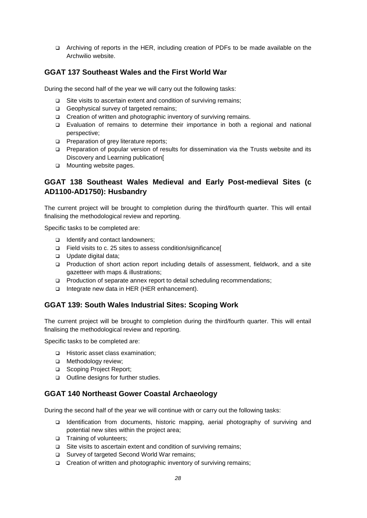Archiving of reports in the HER, including creation of PDFs to be made available on the Archwilio website.

# <span id="page-28-0"></span>**GGAT 137 Southeast Wales and the First World War**

During the second half of the year we will carry out the following tasks:

- $\Box$  Site visits to ascertain extent and condition of surviving remains;
- Geophysical survey of targeted remains:
- □ Creation of written and photographic inventory of surviving remains.
- Evaluation of remains to determine their importance in both a regional and national perspective;
- **Preparation of grey literature reports;**
- Preparation of popular version of results for dissemination via the Trusts website and its Discovery and Learning publication[
- **D** Mounting website pages.

# <span id="page-28-1"></span>**GGAT 138 Southeast Wales Medieval and Early Post-medieval Sites (c AD1100-AD1750): Husbandry**

The current project will be brought to completion during the third/fourth quarter. This will entail finalising the methodological review and reporting.

Specific tasks to be completed are:

- □ Identify and contact landowners:
- Field visits to c. 25 sites to assess condition/significance[
- Update digital data;
- Production of short action report including details of assessment, fieldwork, and a site gazetteer with maps & illustrations;
- Production of separate annex report to detail scheduling recommendations;
- □ Integrate new data in HER (HER enhancement).

### <span id="page-28-2"></span>**GGAT 139: South Wales Industrial Sites: Scoping Work**

The current project will be brought to completion during the third/fourth quarter. This will entail finalising the methodological review and reporting.

Specific tasks to be completed are:

- □ Historic asset class examination;
- **D** Methodology review;
- □ Scoping Project Report;
- □ Outline designs for further studies.

### <span id="page-28-3"></span>**GGAT 140 Northeast Gower Coastal Archaeology**

During the second half of the year we will continue with or carry out the following tasks:

- Identification from documents, historic mapping, aerial photography of surviving and potential new sites within the project area;
- □ Training of volunteers;
- $\square$  Site visits to ascertain extent and condition of surviving remains;
- □ Survey of targeted Second World War remains:
- $\Box$  Creation of written and photographic inventory of surviving remains;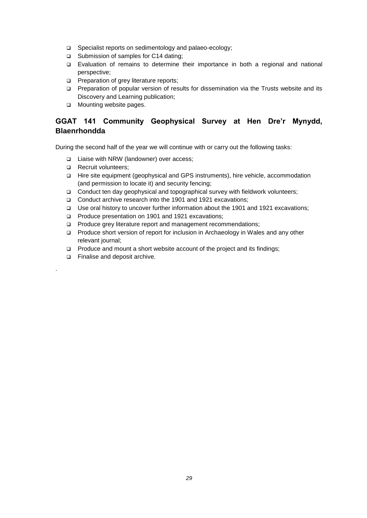- □ Specialist reports on sedimentology and palaeo-ecology;
- □ Submission of samples for C14 dating;
- Evaluation of remains to determine their importance in both a regional and national perspective;
- **Preparation of grey literature reports;**
- Preparation of popular version of results for dissemination via the Trusts website and its Discovery and Learning publication;
- **D** Mounting website pages.

# <span id="page-29-0"></span>**GGAT 141 Community Geophysical Survey at Hen Dre'r Mynydd, Blaenrhondda**

During the second half of the year we will continue with or carry out the following tasks:

- □ Liaise with NRW (landowner) over access;
- Recruit volunteers;
- Hire site equipment (geophysical and GPS instruments), hire vehicle, accommodation (and permission to locate it) and security fencing;
- Conduct ten day geophysical and topographical survey with fieldwork volunteers;
- Conduct archive research into the 1901 and 1921 excavations;
- Use oral history to uncover further information about the 1901 and 1921 excavations;
- □ Produce presentation on 1901 and 1921 excavations;
- **Produce grey literature report and management recommendations;**
- □ Produce short version of report for inclusion in Archaeology in Wales and any other relevant journal;
- $\Box$  Produce and mount a short website account of the project and its findings;
- Finalise and deposit archive.

.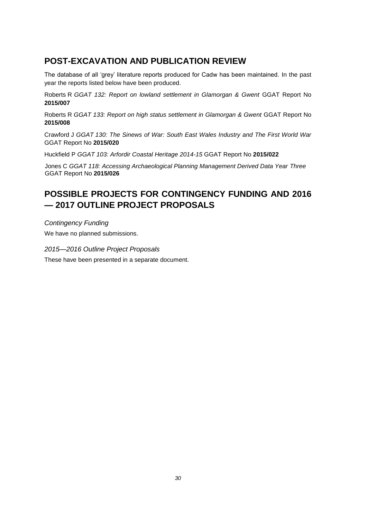# <span id="page-30-0"></span>**POST-EXCAVATION AND PUBLICATION REVIEW**

The database of all 'grey' literature reports produced for Cadw has been maintained. In the past year the reports listed below have been produced.

Roberts R *GGAT 132: Report on lowland settlement in Glamorgan & Gwent* GGAT Report No **2015/007**

Roberts R *GGAT 133: Report on high status settlement in Glamorgan & Gwent* GGAT Report No **2015/008**

Crawford J *GGAT 130: The Sinews of War: South East Wales Industry and The First World War* GGAT Report No **2015/020**

Huckfield P *GGAT 103: Arfordir Coastal Heritage 2014-15* GGAT Report No **2015/022**

Jones C *GGAT 118: Accessing Archaeological Planning Management Derived Data Year Three* GGAT Report No **2015/026**

# <span id="page-30-1"></span>**POSSIBLE PROJECTS FOR CONTINGENCY FUNDING AND 2016 — 2017 OUTLINE PROJECT PROPOSALS**

*Contingency Funding* We have no planned submissions.

*2015—2016 Outline Project Proposals* These have been presented in a separate document.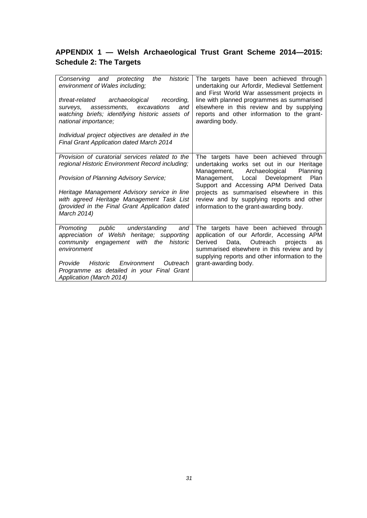# <span id="page-31-0"></span>**APPENDIX 1 — Welsh Archaeological Trust Grant Scheme 2014—2015: Schedule 2: The Targets**

| Conserving and protecting<br>historic<br>the<br>environment of Wales including;<br>threat-related archaeological<br>recording.<br>assessments, excavations<br>and<br>surveys,<br>watching briefs; identifying historic assets of<br>national importance;<br>Individual project objectives are detailed in the<br><b>Final Grant Application dated March 2014</b> | The targets have been achieved through<br>undertaking our Arfordir, Medieval Settlement<br>and First World War assessment projects in<br>line with planned programmes as summarised<br>elsewhere in this review and by supplying<br>reports and other information to the grant-<br>awarding body.                                                    |  |  |  |  |
|------------------------------------------------------------------------------------------------------------------------------------------------------------------------------------------------------------------------------------------------------------------------------------------------------------------------------------------------------------------|------------------------------------------------------------------------------------------------------------------------------------------------------------------------------------------------------------------------------------------------------------------------------------------------------------------------------------------------------|--|--|--|--|
| Provision of curatorial services related to the<br>regional Historic Environment Record including;<br>Provision of Planning Advisory Service;<br>Heritage Management Advisory service in line<br>with agreed Heritage Management Task List<br>(provided in the Final Grant Application dated<br>March 2014)                                                      | The targets have been achieved through<br>undertaking works set out in our Heritage<br>Management, Archaeological<br>Planning<br>Management, Local Development<br>Plan<br>Support and Accessing APM Derived Data<br>projects as summarised elsewhere in this<br>review and by supplying reports and other<br>information to the grant-awarding body. |  |  |  |  |
| public<br>understanding<br>Promoting<br>and<br>appreciation of Welsh heritage; supporting<br>with the<br>historic<br>community<br>engagement<br>environment<br>Historic<br>Environment<br>Provide<br>Outreach<br>Programme as detailed in your Final Grant<br>Application (March 2014)                                                                           | The targets have been achieved through<br>application of our Arfordir, Accessing APM<br>Derived<br>Data,<br>Outreach<br>projects<br>as<br>summarised elsewhere in this review and by<br>supplying reports and other information to the<br>grant-awarding body.                                                                                       |  |  |  |  |